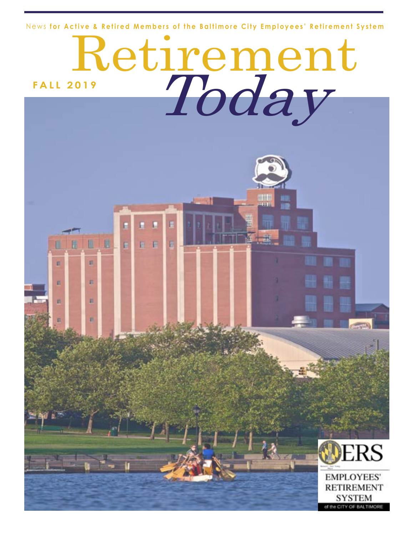News **for Active & Retired Members of the Baltimore City Employees' Retirement System**



**EMPLOYEES' RETIREMENT** SYSTEM of the CITY OF BALTIMORE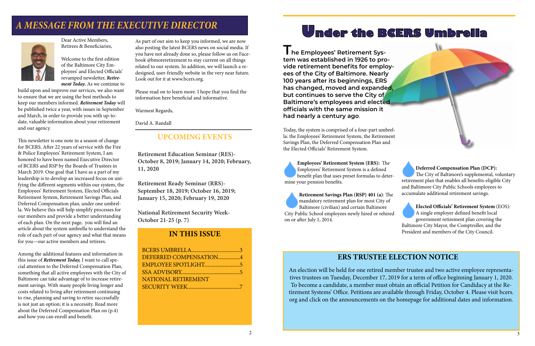Dear Active Members, Retirees & Beneficiaries,

Welcome to the first edition of the Baltimore City Employees' and Elected Officials' revamped newsletter, *Retirement Today.* As we continue to

build upon and improve our services, we also want to ensure that we are using the best methods to keep our members informed. *Retirement Today* will be published twice a year, with issues in September and March, in order to provide you with up-todate, valuable information about your retirement and our agency.

This newsletter is one note in a season of change for BCERS. After 22 years of service with the Fire & Police Employees' Retirement System, I am honored to have been named Executive Director of BCERS and RSP by the Boards of Trustees in March 2019. One goal that I have as a part of my leadership is to develop an increased focus on unifying the different segments within our system, the Employees' Retirement System, Elected Officials Retirement System, Retirement Savings Plan, and Deferred Compensation plan, under one umbrella. We believe this will help simplify processes for our members and provide a better understanding of each plan. On the next page, you will find an article about the system umbrella to understand the role of each part of our agency and what that means for you—our active members and retirees.

I he Employees' Retirement Sys**tem was established in 1926 to provide retirement benefits for employees of the City of Baltimore. Nearly 100 years after its beginnings, ERS has changed, moved and expanded, but continues to serve the City of Baltimore's employees and elected officials with the same mission it had nearly a century ago**.

Among the additional features and information in this issue of *Retirement Today,* I want to call special attention to the Deferred Compensation Plan, something that all active employees with the City of Baltimore can take advantage of to increase retirement savings. With many people living longer and costs related to living after retirement continuing to rise, planning and saving to retire successfully is not just an option; it is a necessity. Read more about the Deferred Compensation Plan on (p.4) and how you can enroll and benefit.

As part of our aim to keep you informed, we are now also posting the latest BCERS news on social media. If you have not already done so, please follow us on Facebook @bmoreretirement to stay current on all things related to our system. In addition, we will launch a redesigned, user-friendly website in the very near future. Look out for it at www.bcers.org.

Please read on to learn more. I hope that you find the information here beneficial and informative.

Warmest Regards,

David A. Randall

## **IN THIS ISSUE**

## *A MESSAGE FROM THE EXECUTIVE DIRECTOR*



Today, the system is comprised of a four-part umbrella: the Employees' Retirement System, the Retirement Savings Plan, the Deferred Compensation Plan and the Elected Officials' Retirement System.

**Employees' Retirement System (ERS):** The Employees' Retirement System is a defined benefit plan that uses preset formulas to determine your pension benefits.

**Retirement Savings Plan (RSP) 401 (a)**: The mandatory retirement plan for most City of Baltimore (civilian) and certain Baltimore City Public School employees newly hired or rehired on or after July 1, 2014.

**Deferred Compensation Plan (DCP):**  The City of Baltimore's supplemental, voluntary retirement plan that enables all benefits-eligible City and Baltimore City Public Schools employees to accumulate additional retirement savings.

**Elected Officials' Retirement System** (EOS): A single employer defined benefit local government retirement plan covering the Baltimore City Mayor, the Comptroller, and the President and members of the City Council.

## **UPCOMING EVENTS**

**Retirement Education Seminar (RES)- October 8, 2019; January 14, 2020; February, 11, 2020**

**Retirement Ready Seminar (RRS)- September 18, 2019; October 16, 2019; January 15, 2020; February 19, 2020**

**National Retirement Security Week-October 21-25 (p. 7)**



## **ERS TRUSTEE ELECTION NOTICE**

An election will be held for one retired member trustee and two active employee representatives trustees on Tuesday, December 17, 2019 for a term of office beginning January 1, 2020. To become a candidate, a member must obtain an official Petition for Candidacy at the Retirement Systems' Office. Petitions are available through Friday, October 4. Please visit bcers. org and click on the announcements on the homepage for additional dates and information.

| DEFERRED COMPENSATION4     |  |
|----------------------------|--|
|                            |  |
|                            |  |
| <b>NATIONAL RETIREMENT</b> |  |
|                            |  |
|                            |  |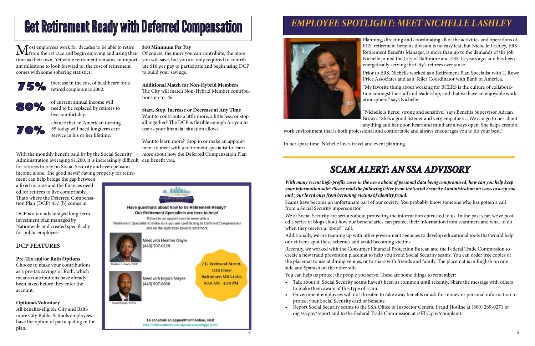# Get Retirement Ready with Deferred Compensation

We at Social Security are serious about protecting the information entrusted to us. In the past year, we've posted a series of blogs about how our beneficiaries can protect their information from scammers and what to do when they receive a "spoof" call.

*With many recent high-profile cases in the news about of personal data being compromised, how can you help keep your information safe? Please read the following letter from the Social Security Administration on ways to keep you and your loved ones from becoming victims of identity fraud.*  Scams have become an unfortunate part of our society. You probably know someone who has gotten a call from a Social Security impersonator.

Additionally, we are teaming up with other government agencies to develop educational tools that would help our citizens spot these schemes and avoid becoming victims. Recently, we worked with the Consumer Financial Protection Bureau and the Federal Trade Commission to create a new fraud prevention placemat to help you avoid Social Security scams. You can order free copies of the placemat to use at dining venues, or to share with friends and family. The placemat is in English on one side and Spanish on the other side.

Most employees work for decades to be able to retire \$10 Minimum Per Pay<br>from the rat race and begin enjoying and using their Of course, the more you can contribute, the more<br>time and the more in the set of the set of the time as their own. Yet while retirement remains an import-you will save, but you are only required to contribant milestone to look forward to, the cost of retirement comes with some sobering statistics:

You can help us protect the people you serve. These are some things to remember:

• Talk about it! Social Security scams haven't been as common until recently. Share the message with others

• Government employees will not threaten to take away benefits or ask for money or personal information to

- to make them aware of this type of scam.
- protect your Social Security card or benefits.
- oig.ssa.gov/report and to the Federal Trade Commission at //FTC.gov/complaint.

• Report Social Security scams to the SSA Office of Inspector General Fraud Hotline at (800) 269-0271 or

With the monthly benefit paid by by the Social Security Administration averaging \$1,200, it is increasingly difficult can benefit you. for retirees to rely on Social Security and even pension income alone. The good news? Saving properly for retire-

ment can help bridge the gap between a fixed income and the finances needed for retirees to live comfortably. That's where the Deferred Compensation Plan (DCP) 457 (b) comes in.

DCP is a tax-advantaged long-term investment plan managed by Nationwide and created specifically for public employees.

## **DCP FEATURES**

### **Pre-Tax and/or Roth Options**

Choose to make your contributions as a pre-tax savings or Roth, which means contributions have already been taxed before they enter the account.

### **Optional/Voluntary**

All benefits-eligible City and Baltimore City Public Schools employees have the option of participating in the plan.

## *SCAM ALERT: AN SSA ADVISORY*

## *EMPLOYEE SPOTLIGHT: MEET NICHELLE LASHLEY*



Planning, directing and coordinating all of the activities and operations of ERS' retirement benefits division is no easy feat, but Nichelle Lashley, ERS Retirement Benefits Manager, is more than up to the demands of the job. Nichelle joined the City of Baltimore and ERS 14 years ago, and has been energetically serving the City's retirees ever since.

Prior to ERS, Nichelle worked as a Retirement Plan Specialist with T. Rowe Price Associates and as a Teller Coordinator with Bank of America.

"My favorite thing about working for BCERS is the culture of collaboration amongst the staff and leadership, and that we have an enjoyable work atmosphere," says Nichelle.

"Nichelle is fierce, strong and sensitive," says Benefits Supervisor Adrian Brown. "She's a good listener and very empathetic. We can go to her about anything and her door, heart and mind are always open. She helps create a

work environment that is both professional and comfortable and always encourages you to do your best."

In her spare time, Nichelle loves travel and event planning.

### **\$10 Minimum Per Pay**

ute \$10 per pay to participate and begin using DCP to build your savings.

**Additional Match for Non-Hybrid Members**

The City will match Non-Hybrid Member contributions up to 1%.

### **Start, Stop, Increase or Decrease at Any Time**

Want to contribute a little more, a little less, or stop all together? The DCP is flexible enough for you to use as your financial situation allows.

Want to learn more? Stop in or make an appointment to meet with a retirement specialist to learn more about how the Deferred Compensation Plan







increase in the cost of healthcare for a retired couple since 2002.

of current annual income will need to be replaced by retirees to live comfortably.

chance that an American turning 65 today will need longterm care service in his or her lifetime.

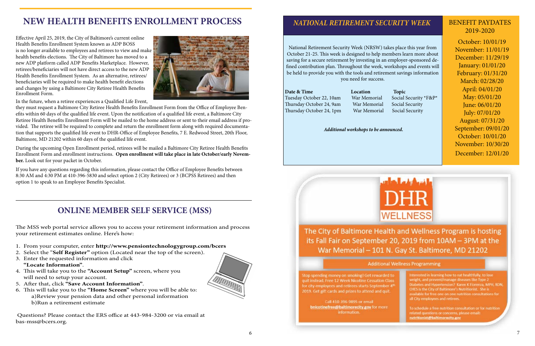The MSS web portal service allows you to access your retirement information and process your retirement estimates online. Here's how:

- 1. From your computer, enter **http://www.pensiontechnologygroup.com/bcers**
- 2. Select the "**Self Register"** option (Located near the top of the screen).
- 3. Enter the requested information and click **"Locate Information"**.
- 4. This will take you to the **"Account Setup"** screen, where you will need to setup your account.
- 5. After that, click **''Save Account Information"**.
- 6. This will take you to the **"Home Screen"** where you will be able to: a)Review your pension data and other personal information b)Run a retirement estimate

 Questions? Please contact the ERS office at 443-984-3200 or via email at bas-mss@bcers.org.

Tuesday October 22, 10am War Memorial Social Security \*F&P\* Thursday October 24, 9am War Memorial Social Security Thursday October 24, 1pm War Memorial Social Security

October: 10/01/19 November: 11/01/19 December: 11/29/19 January: 01/01/20 February: 01/31/20 March: 02/28/20 April: 04/01/20 May: 05/01/20 June: 06/01/20 July: 07/01/20 August: 07/31/20 September: 09/01/20 October: 10/01/20 November: 10/30/20 December: 12/01/20



The City of Baltimore Health and Wellness Program is hosting its Fall Fair on September 20, 2019 from 10AM - 3PM at the War Memorial - 101 N. Gay St. Baltimore, MD 21202

#### **Additional Wellness Programming**

Interested in learning how to eat healthfully, to lose weight, and prevent/manage diseases like Type 2 Diabetes and Hypertension? Karen K Fiorenza, MPH, RDN, CHES is the City of Baltimore's Nutritionist. She is evailable for free one on one nutrition consultations for all City employees and retirees.

To schedule a free nutrition consultation or for nutrition related questions or concerns, please email: nutritionist@baltimorecity.gov

## BENEFIT PAYDATES 2019-2020

## **ONLINE MEMBER SELF SERVICE (MSS)**

National Retirement Security Week (NRSW) takes place this year from October 21-25. This week is designed to help members learn more about saving for a secure retirement by investing in an employer-sponsored defined contribution plan. Throughout the week, workshops and events will be held to provide you with the tools and retirement savings information you need for success.

### **Date & Time Location Topic**

*Additional workshops to be announced.* 

Stop spending money on smoking! Get rewarded to quit instead. Free 12 Week Nicotine Cessation Class for city employees and retirees starts September 4<sup>th</sup> 2019. Get gift cards and prizes to attend and quit.

Call 410-396-9895 or email bnicotinefree@baltimorecity.gov for more information.



## *NATIONAL RETIREMENT SECURITY WEEK*

Effective April 25, 2019, the City of Baltimore's current online Health Benefits Enrollment System known as ADP BOSS is no longer available to employees and retirees to view and make health benefits elections. The City of Baltimore has moved to a new ADP platform called ADP Benefits Marketplace. However, retirees/beneficiaries will not have direct access to the new ADP Health Benefits Enrollment System. As an alternative, retirees/ beneficiaries will be required to make health benefit elections and changes by using a Baltimore City Retiree Health Benefits Enrollment Form.



In the future, when a retiree experiences a Qualified Life Event,

they must request a Baltimore City Retiree Health Benefits Enrollment Form from the Office of Employee Benefits within 60 days of the qualified life event. Upon the notification of a qualified life event, a Baltimore City Retiree Health Benefits Enrollment Form will be mailed to the home address or sent to their email address if provided. The retiree will be required to complete and return the enrollment form along with required documentation that supports the qualified life event to DHR-Office of Employee Benefits, 7 E. Redwood Street, 20th Floor, Baltimore, MD 21202 within 60 days of the qualified life event.

 During the upcoming Open Enrollment period, retirees will be mailed a Baltimore City Retiree Health Benefits Enrollment Form and enrollment instructions. **Open enrollment will take place in late October/early November.** Look out for your packet in October.

If you have any questions regarding this information, please contact the Office of Employee Benefits between 8:30 AM and 4:30 PM at 410-396-5830 and select option 2 (City Retirees) or 3 (BCPSS Retirees) and then option 1 to speak to an Employee Benefits Specialist.

## **NEW HEALTH BENEFITS ENROLLMENT PROCESS**